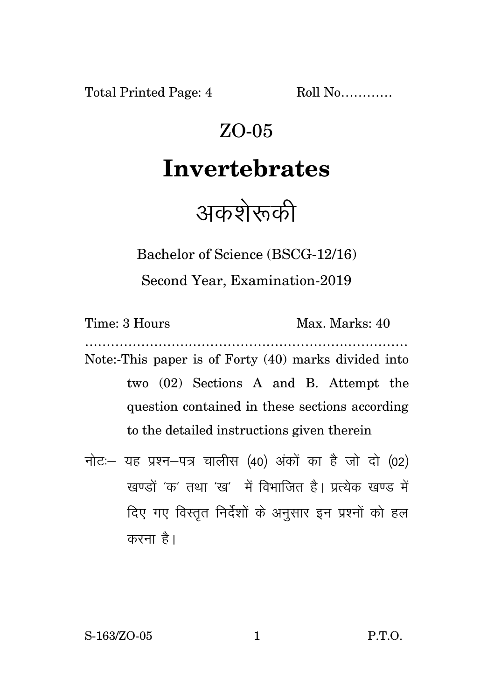Total Printed Page: 4 Roll No...........

# ZO-05

### **Invertebrates**

## अकशेरूकी

Bachelor of Science (BSCG-12/16) Second Year, Examination-2019

| Time: 3 Hours                                        |  |  | Max. Marks: 40 |  |  |                                        |  |
|------------------------------------------------------|--|--|----------------|--|--|----------------------------------------|--|
| Note:-This paper is of Forty (40) marks divided into |  |  |                |  |  |                                        |  |
|                                                      |  |  |                |  |  | two (02) Sections A and B. Attempt the |  |
| question contained in these sections according       |  |  |                |  |  |                                        |  |
| to the detailed instructions given therein           |  |  |                |  |  |                                        |  |
|                                                      |  |  |                |  |  |                                        |  |

नोट: यह प्रश्न-पत्र चालीस (40) अंकों का है जो दो (02) खण्डों 'क' तथा 'ख' में विभाजित है। प्रत्येक खण्ड में दिए गए विस्तृत निर्देशों के अनुसार इन प्रश्नों को हल करना है।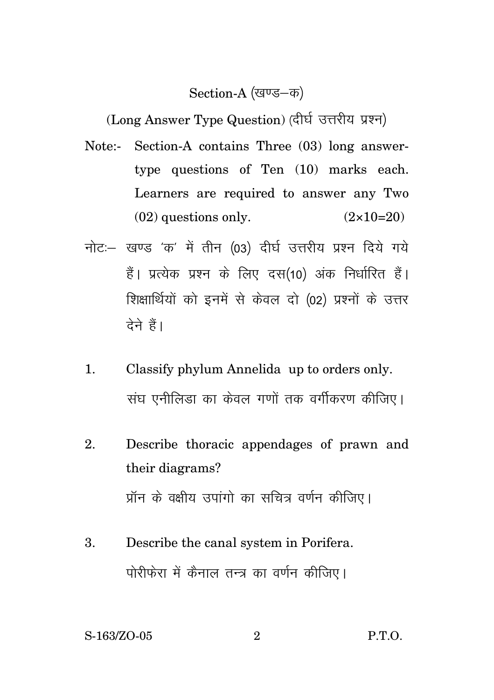### Section-A (खण्ड–क)

(Long Answer Type Question) (दीर्घ उत्तरीय प्रश्न)

- Note:- Section-A contains Three (03) long answertype questions of Ten (10) marks each. Learners are required to answer any Two  $(02)$  questions only.  $(2 \times 10=20)$
- नोट: खण्ड 'क' में तीन (03) दीर्घ उत्तरीय प्रश्न दिये गये हैं। प्रत्येक प्रश्न के लिए दस(10) अंक निर्धारित हैं। शिक्षार्थियों को इनमें से केवल दो (02) प्रश्नों के उत्तर देने हैं।
- 1. Classify phylum Annelida up to orders only. संघ एनीलिड़ा का केवल गणों तक वर्गीकरण कीजिए।
- 2. Describe thoracic appendages of prawn and their diagrams? प्रॉन के वक्षीय उपांगो का सचित्र वर्णन कीजिए।
- 3. Describe the canal system in Porifera. पोरीफेरा में कैनाल तन्त्र का वर्णन कीजिए।

S-163/ZO-05 2 P.T.O.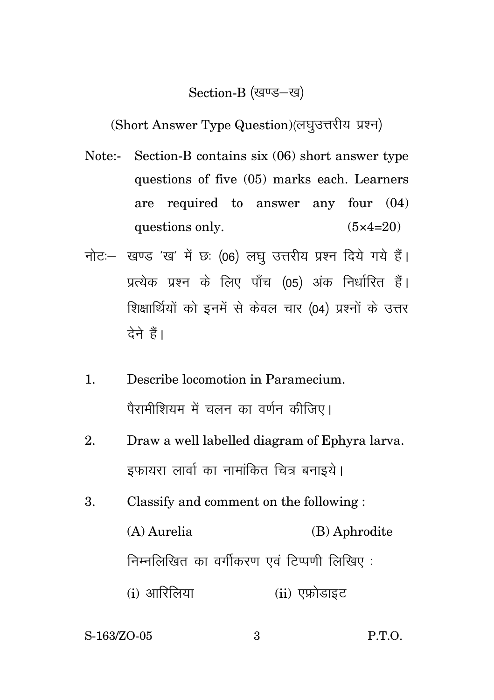#### Section-B (खण्ड-ख)

(Short Answer Type Question) (लघुउत्तरीय प्रश्न)

- Note:- Section-B contains six (06) short answer type questions of five (05) marks each. Learners are required to answer any four (04) questions only.  $(5 \times 4=20)$
- नोट: खण्ड 'ख' में छः (06) लघु उत्तरीय प्रश्न दिये गये हैं। प्रत्येक प्रश्न के लिए पाँच (05) अंक निर्धारित हैं। शिक्षार्थियों को इनमें से केवल चार (04) प्रश्नों के उत्तर देने हैं।
- 1. Describe locomotion in Paramecium. पैरामीशियम में चलन का वर्णन कीजिए।
- 2. Draw a well labelled diagram of Ephyra larva. इफायरा लार्वा का नामांकित चित्र बनाइये।
- 3. Classify and comment on the following : (A) Aurelia (B) Aphrodite निम्नलिखित का वर्गीकरण एवं टिप्पणी लिखिए:  $(i)$  आरिलिया  $(ii)$  एफ्रोडाइट

S-163/ZO-05 3 P.T.O.